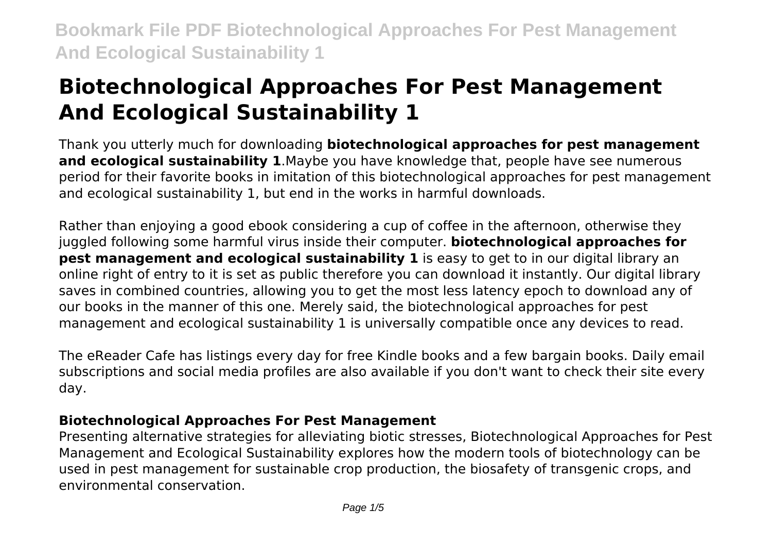# **Biotechnological Approaches For Pest Management And Ecological Sustainability 1**

Thank you utterly much for downloading **biotechnological approaches for pest management and ecological sustainability 1**.Maybe you have knowledge that, people have see numerous period for their favorite books in imitation of this biotechnological approaches for pest management and ecological sustainability 1, but end in the works in harmful downloads.

Rather than enjoying a good ebook considering a cup of coffee in the afternoon, otherwise they juggled following some harmful virus inside their computer. **biotechnological approaches for pest management and ecological sustainability 1** is easy to get to in our digital library an online right of entry to it is set as public therefore you can download it instantly. Our digital library saves in combined countries, allowing you to get the most less latency epoch to download any of our books in the manner of this one. Merely said, the biotechnological approaches for pest management and ecological sustainability 1 is universally compatible once any devices to read.

The eReader Cafe has listings every day for free Kindle books and a few bargain books. Daily email subscriptions and social media profiles are also available if you don't want to check their site every day.

# **Biotechnological Approaches For Pest Management**

Presenting alternative strategies for alleviating biotic stresses, Biotechnological Approaches for Pest Management and Ecological Sustainability explores how the modern tools of biotechnology can be used in pest management for sustainable crop production, the biosafety of transgenic crops, and environmental conservation.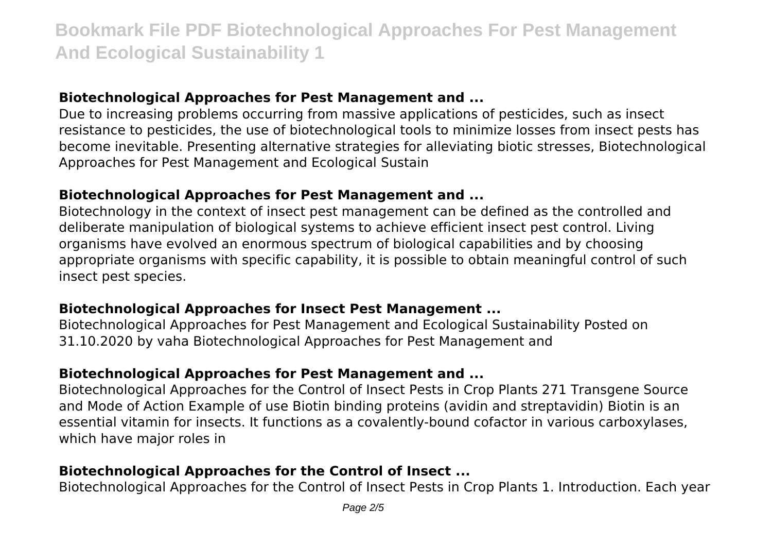#### **Biotechnological Approaches for Pest Management and ...**

Due to increasing problems occurring from massive applications of pesticides, such as insect resistance to pesticides, the use of biotechnological tools to minimize losses from insect pests has become inevitable. Presenting alternative strategies for alleviating biotic stresses, Biotechnological Approaches for Pest Management and Ecological Sustain

#### **Biotechnological Approaches for Pest Management and ...**

Biotechnology in the context of insect pest management can be defined as the controlled and deliberate manipulation of biological systems to achieve efficient insect pest control. Living organisms have evolved an enormous spectrum of biological capabilities and by choosing appropriate organisms with specific capability, it is possible to obtain meaningful control of such insect pest species.

#### **Biotechnological Approaches for Insect Pest Management ...**

Biotechnological Approaches for Pest Management and Ecological Sustainability Posted on 31.10.2020 by vaha Biotechnological Approaches for Pest Management and

### **Biotechnological Approaches for Pest Management and ...**

Biotechnological Approaches for the Control of Insect Pests in Crop Plants 271 Transgene Source and Mode of Action Example of use Biotin binding proteins (avidin and streptavidin) Biotin is an essential vitamin for insects. It functions as a covalently-bound cofactor in various carboxylases, which have major roles in

# **Biotechnological Approaches for the Control of Insect ...**

Biotechnological Approaches for the Control of Insect Pests in Crop Plants 1. Introduction. Each year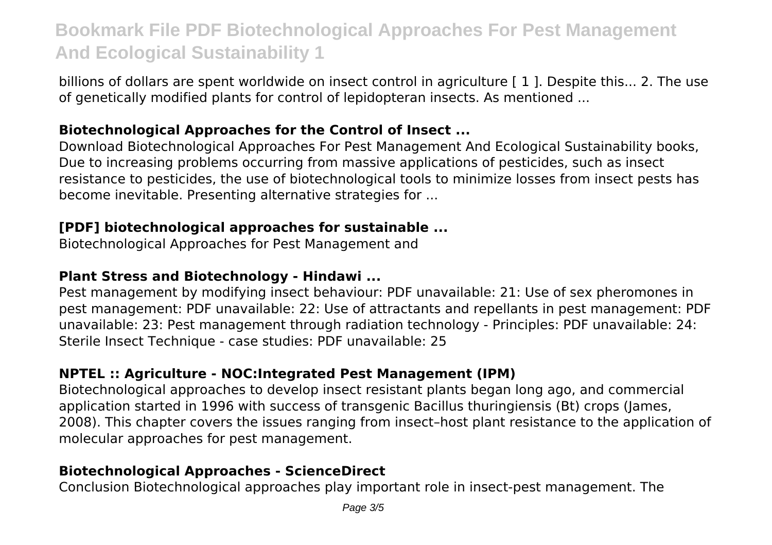billions of dollars are spent worldwide on insect control in agriculture [1]. Despite this... 2. The use of genetically modified plants for control of lepidopteran insects. As mentioned ...

### **Biotechnological Approaches for the Control of Insect ...**

Download Biotechnological Approaches For Pest Management And Ecological Sustainability books, Due to increasing problems occurring from massive applications of pesticides, such as insect resistance to pesticides, the use of biotechnological tools to minimize losses from insect pests has become inevitable. Presenting alternative strategies for ...

# **[PDF] biotechnological approaches for sustainable ...**

Biotechnological Approaches for Pest Management and

# **Plant Stress and Biotechnology - Hindawi ...**

Pest management by modifying insect behaviour: PDF unavailable: 21: Use of sex pheromones in pest management: PDF unavailable: 22: Use of attractants and repellants in pest management: PDF unavailable: 23: Pest management through radiation technology - Principles: PDF unavailable: 24: Sterile Insect Technique - case studies: PDF unavailable: 25

# **NPTEL :: Agriculture - NOC:Integrated Pest Management (IPM)**

Biotechnological approaches to develop insect resistant plants began long ago, and commercial application started in 1996 with success of transgenic Bacillus thuringiensis (Bt) crops (James, 2008). This chapter covers the issues ranging from insect–host plant resistance to the application of molecular approaches for pest management.

# **Biotechnological Approaches - ScienceDirect**

Conclusion Biotechnological approaches play important role in insect-pest management. The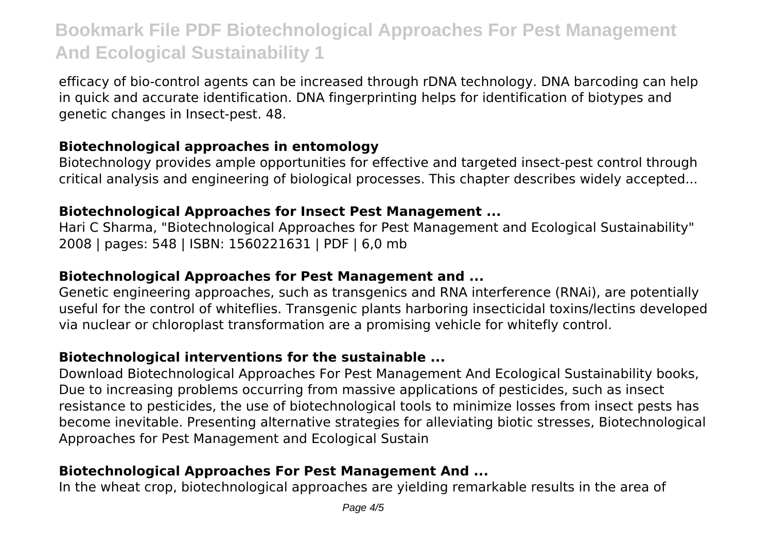efficacy of bio-control agents can be increased through rDNA technology. DNA barcoding can help in quick and accurate identification. DNA fingerprinting helps for identification of biotypes and genetic changes in Insect-pest. 48.

#### **Biotechnological approaches in entomology**

Biotechnology provides ample opportunities for effective and targeted insect-pest control through critical analysis and engineering of biological processes. This chapter describes widely accepted...

#### **Biotechnological Approaches for Insect Pest Management ...**

Hari C Sharma, "Biotechnological Approaches for Pest Management and Ecological Sustainability" 2008 | pages: 548 | ISBN: 1560221631 | PDF | 6,0 mb

#### **Biotechnological Approaches for Pest Management and ...**

Genetic engineering approaches, such as transgenics and RNA interference (RNAi), are potentially useful for the control of whiteflies. Transgenic plants harboring insecticidal toxins/lectins developed via nuclear or chloroplast transformation are a promising vehicle for whitefly control.

### **Biotechnological interventions for the sustainable ...**

Download Biotechnological Approaches For Pest Management And Ecological Sustainability books, Due to increasing problems occurring from massive applications of pesticides, such as insect resistance to pesticides, the use of biotechnological tools to minimize losses from insect pests has become inevitable. Presenting alternative strategies for alleviating biotic stresses, Biotechnological Approaches for Pest Management and Ecological Sustain

# **Biotechnological Approaches For Pest Management And ...**

In the wheat crop, biotechnological approaches are yielding remarkable results in the area of